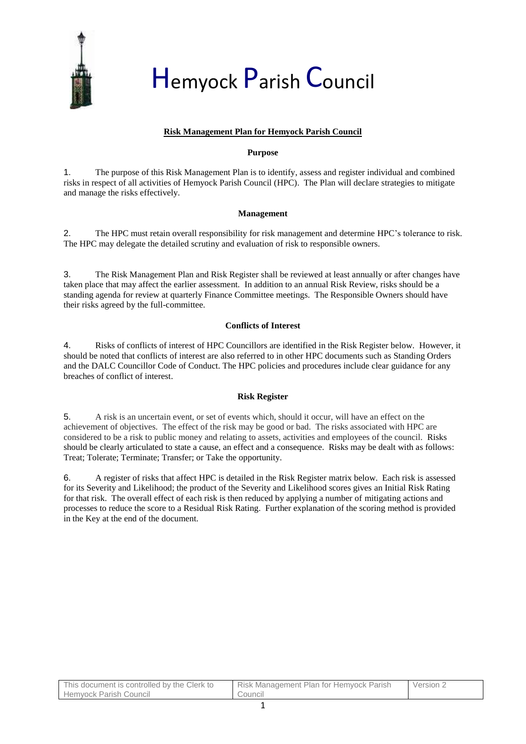

# Hemyock Parish Council

## **Risk Management Plan for Hemyock Parish Council**

#### **Purpose**

1. The purpose of this Risk Management Plan is to identify, assess and register individual and combined risks in respect of all activities of Hemyock Parish Council (HPC). The Plan will declare strategies to mitigate and manage the risks effectively.

#### **Management**

2. The HPC must retain overall responsibility for risk management and determine HPC's tolerance to risk. The HPC may delegate the detailed scrutiny and evaluation of risk to responsible owners.

3. The Risk Management Plan and Risk Register shall be reviewed at least annually or after changes have taken place that may affect the earlier assessment. In addition to an annual Risk Review, risks should be a standing agenda for review at quarterly Finance Committee meetings. The Responsible Owners should have their risks agreed by the full-committee.

#### **Conflicts of Interest**

4. Risks of conflicts of interest of HPC Councillors are identified in the Risk Register below. However, it should be noted that conflicts of interest are also referred to in other HPC documents such as Standing Orders and the DALC Councillor Code of Conduct. The HPC policies and procedures include clear guidance for any breaches of conflict of interest.

#### **Risk Register**

5. A risk is an uncertain event, or set of events which, should it occur, will have an effect on the achievement of objectives. The effect of the risk may be good or bad. The risks associated with HPC are considered to be a risk to public money and relating to assets, activities and employees of the council. Risks should be clearly articulated to state a cause, an effect and a consequence. Risks may be dealt with as follows: Treat; Tolerate; Terminate; Transfer; or Take the opportunity.

6. A register of risks that affect HPC is detailed in the Risk Register matrix below. Each risk is assessed for its Severity and Likelihood; the product of the Severity and Likelihood scores gives an Initial Risk Rating for that risk. The overall effect of each risk is then reduced by applying a number of mitigating actions and processes to reduce the score to a Residual Risk Rating. Further explanation of the scoring method is provided in the Key at the end of the document.

| This document is controlled by the Clerk to | Risk Management Plan for Hemyock Parish | Version ∠ |
|---------------------------------------------|-----------------------------------------|-----------|
| <b>Hemvock Parish Council</b>               | Council                                 |           |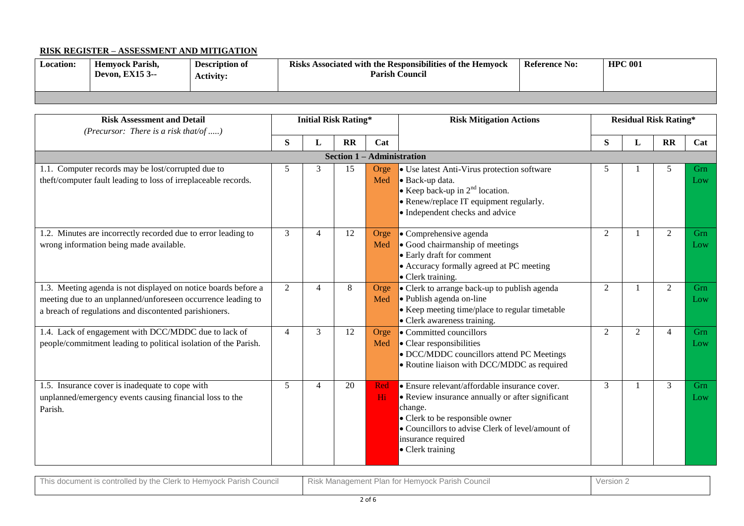# **RISK REGISTER – ASSESSMENT AND MITIGATION**

| <b>Location:</b> | <b>Hemvock Parish.</b><br><b>Devon. EX15 3--</b> | <b>Description of</b><br><b>Activity:</b> | Risks Associated with the Responsibilities of the Hemyock<br><b>Parish Council</b> | <b>Reference No:</b> | <b>HPC 001</b> |
|------------------|--------------------------------------------------|-------------------------------------------|------------------------------------------------------------------------------------|----------------------|----------------|
|                  |                                                  |                                           |                                                                                    |                      |                |

| <b>Risk Assessment and Detail</b><br>(Precursor: There is a risk that/of )                                                                                                               |                | <b>Initial Risk Rating*</b>  |              |             | <b>Risk Mitigation Actions</b>                                                                                                                                                                                                                |                | <b>Residual Risk Rating*</b> |                |            |  |
|------------------------------------------------------------------------------------------------------------------------------------------------------------------------------------------|----------------|------------------------------|--------------|-------------|-----------------------------------------------------------------------------------------------------------------------------------------------------------------------------------------------------------------------------------------------|----------------|------------------------------|----------------|------------|--|
|                                                                                                                                                                                          | S              | L                            | $\mathbf{R}$ | Cat         |                                                                                                                                                                                                                                               | S              | L                            | $\mathbf{R}$   | Cat        |  |
|                                                                                                                                                                                          |                | Section $1 -$ Administration |              |             |                                                                                                                                                                                                                                               |                |                              |                |            |  |
| 1.1. Computer records may be lost/corrupted due to<br>theft/computer fault leading to loss of irreplaceable records.                                                                     | 5              | 3                            | 15           | Orge<br>Med | • Use latest Anti-Virus protection software<br>Back-up data.<br>• Keep back-up in $2nd$ location.<br>• Renew/replace IT equipment regularly.<br>• Independent checks and advice                                                               | 5              |                              | 5              | Grn<br>Low |  |
| 1.2. Minutes are incorrectly recorded due to error leading to<br>wrong information being made available.                                                                                 | 3              | $\overline{4}$               | 12           | Orge<br>Med | • Comprehensive agenda<br>• Good chairmanship of meetings<br>• Early draft for comment<br>• Accuracy formally agreed at PC meeting<br>• Clerk training.                                                                                       | 2              |                              | 2              | Grn<br>Low |  |
| 1.3. Meeting agenda is not displayed on notice boards before a<br>meeting due to an unplanned/unforeseen occurrence leading to<br>a breach of regulations and discontented parishioners. | $\overline{2}$ | $\overline{4}$               | $\,8\,$      | Orge<br>Med | • Clerk to arrange back-up to publish agenda<br>• Publish agenda on-line<br>• Keep meeting time/place to regular timetable<br>• Clerk awareness training.                                                                                     | $\overline{2}$ |                              | 2              | Grn<br>Low |  |
| 1.4. Lack of engagement with DCC/MDDC due to lack of<br>people/commitment leading to political isolation of the Parish.                                                                  | 4              | 3                            | 12           | Orge<br>Med | • Committed councillors<br>• Clear responsibilities<br>• DCC/MDDC councillors attend PC Meetings<br>• Routine liaison with DCC/MDDC as required                                                                                               | $\overline{2}$ | $\overline{2}$               | $\overline{4}$ | Grn<br>Low |  |
| 1.5. Insurance cover is inadequate to cope with<br>unplanned/emergency events causing financial loss to the<br>Parish.                                                                   | 5              | $\overline{4}$               | 20           | Red<br>Hi   | • Ensure relevant/affordable insurance cover.<br>• Review insurance annually or after significant<br>change.<br>• Clerk to be responsible owner<br>• Councillors to advise Clerk of level/amount of<br>insurance required<br>• Clerk training | 3              |                              | 3              | Grn<br>Low |  |

| `l∆rk<br>Hemvock<br>Parish<br>the<br>Counci<br>controlled<br>to<br>document<br>' his<br>uuuuilloill<br><b>UIGIN</b><br>$\sim$ | ∵ Paris∟<br>Council<br>Plan,<br>Hemvock<br>Risk Manadement<br>$\sim$ 16 | Version. |
|-------------------------------------------------------------------------------------------------------------------------------|-------------------------------------------------------------------------|----------|
|                                                                                                                               |                                                                         |          |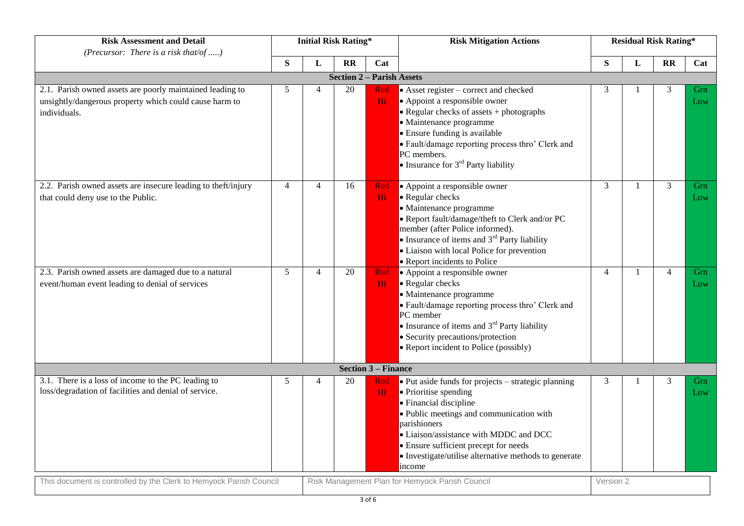| <b>Risk Assessment and Detail</b><br>(Precursor: There is a risk that/of )                                                          | <b>Initial Risk Rating*</b> |                |                 |                            | <b>Risk Mitigation Actions</b>                                                                                                                                                                                                                                                                                           | <b>Residual Risk Rating*</b> |              |                |            |  |  |
|-------------------------------------------------------------------------------------------------------------------------------------|-----------------------------|----------------|-----------------|----------------------------|--------------------------------------------------------------------------------------------------------------------------------------------------------------------------------------------------------------------------------------------------------------------------------------------------------------------------|------------------------------|--------------|----------------|------------|--|--|
| S                                                                                                                                   |                             | L              | $\mathbf{R}$    | Cat                        |                                                                                                                                                                                                                                                                                                                          | S                            | $\mathbf L$  | <b>RR</b>      | Cat        |  |  |
| <b>Section 2</b><br>- Parish Assets                                                                                                 |                             |                |                 |                            |                                                                                                                                                                                                                                                                                                                          |                              |              |                |            |  |  |
| 2.1. Parish owned assets are poorly maintained leading to<br>unsightly/dangerous property which could cause harm to<br>individuals. | 5                           | $\overline{4}$ | 20              | Red<br>Hi                  | $\bullet$ Asset register – correct and checked<br>• Appoint a responsible owner<br>• Regular checks of assets + photographs<br>· Maintenance programme<br>· Ensure funding is available<br>· Fault/damage reporting process thro' Clerk and<br>PC members.<br>• Insurance for $3rd$ Party liability                      | 3                            |              | 3              | Grn<br>Low |  |  |
| 2.2. Parish owned assets are insecure leading to theft/injury<br>that could deny use to the Public.                                 | $\overline{4}$              | $\overline{4}$ | 16              | Red<br>Hi                  | • Appoint a responsible owner<br>• Regular checks<br>· Maintenance programme<br>• Report fault/damage/theft to Clerk and/or PC<br>member (after Police informed).<br>• Insurance of items and $3^{rd}$ Party liability<br>• Liaison with local Police for prevention<br>• Report incidents to Police                     | 3                            | -1           | $\overline{3}$ | Grn<br>Low |  |  |
| 2.3. Parish owned assets are damaged due to a natural<br>event/human event leading to denial of services                            | 5 <sup>5</sup>              | $\overline{4}$ | $\overline{20}$ | Red<br>Hi.                 | • Appoint a responsible owner<br>• Regular checks<br>· Maintenance programme<br>· Fault/damage reporting process thro' Clerk and<br>PC member<br>• Insurance of items and $3^{rd}$ Party liability<br>• Security precautions/protection<br>• Report incident to Police (possibly)                                        | $\overline{4}$               | $\mathbf{1}$ | $\overline{4}$ | Grn<br>Low |  |  |
|                                                                                                                                     |                             |                |                 | <b>Section 3 – Finance</b> |                                                                                                                                                                                                                                                                                                                          |                              |              |                |            |  |  |
| 3.1. There is a loss of income to the PC leading to<br>loss/degradation of facilities and denial of service.                        | 5                           | $\overline{4}$ | 20              | Red<br>Hi                  | • Put aside funds for projects – strategic planning<br>• Prioritise spending<br>· Financial discipline<br>· Public meetings and communication with<br>parishioners<br>• Liaison/assistance with MDDC and DCC<br>• Ensure sufficient precept for needs<br>• Investigate/utilise alternative methods to generate<br>income | 3                            |              | 3              | Grn<br>Low |  |  |
| This document is controlled by the Clerk to Hemyock Parish Council                                                                  |                             |                |                 |                            | Risk Management Plan for Hemyock Parish Council                                                                                                                                                                                                                                                                          | Version 2                    |              |                |            |  |  |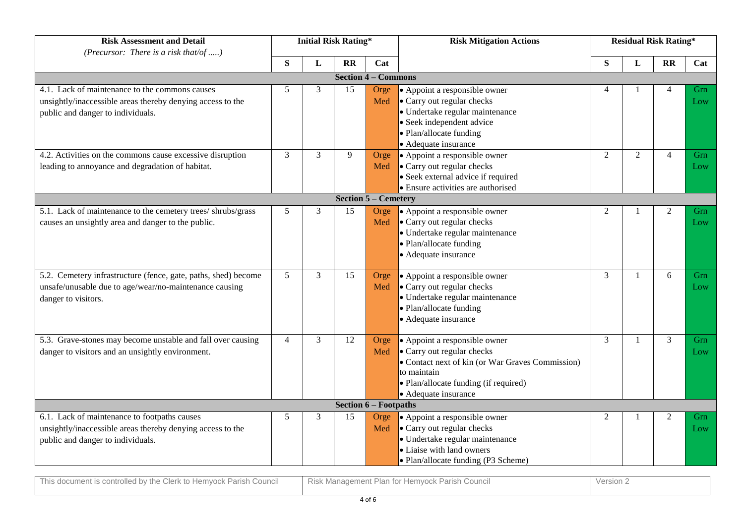| <b>Risk Assessment and Detail</b><br>(Precursor: There is a risk that/of )                                                                        | <b>Initial Risk Rating*</b> |                |                                 |                              | <b>Risk Mitigation Actions</b>                                                                                                                                                                  | <b>Residual Risk Rating*</b> |                |                |            |  |
|---------------------------------------------------------------------------------------------------------------------------------------------------|-----------------------------|----------------|---------------------------------|------------------------------|-------------------------------------------------------------------------------------------------------------------------------------------------------------------------------------------------|------------------------------|----------------|----------------|------------|--|
|                                                                                                                                                   | S                           | L              | <b>RR</b>                       | Cat                          |                                                                                                                                                                                                 | S                            | L              | <b>RR</b>      | Cat        |  |
|                                                                                                                                                   |                             |                | $-$ Commons<br><b>Section 4</b> |                              |                                                                                                                                                                                                 |                              |                |                |            |  |
| 4.1. Lack of maintenance to the commons causes<br>unsightly/inaccessible areas thereby denying access to the<br>public and danger to individuals. | 5                           | 3              | 15                              | Orge<br>Med                  | • Appoint a responsible owner<br>• Carry out regular checks<br>· Undertake regular maintenance<br>• Seek independent advice<br>• Plan/allocate funding<br>• Adequate insurance                  |                              |                |                | Grn<br>Low |  |
| 4.2. Activities on the commons cause excessive disruption<br>leading to annoyance and degradation of habitat.                                     | 3                           | 3              | 9                               | Orge<br>Med                  | • Appoint a responsible owner<br>• Carry out regular checks<br>• Seek external advice if required<br>• Ensure activities are authorised                                                         | $\overline{2}$               | 2              | $\overline{4}$ | Grn<br>Low |  |
|                                                                                                                                                   |                             |                |                                 | <b>Section 5 – Cemetery</b>  |                                                                                                                                                                                                 |                              |                |                |            |  |
| 5.1. Lack of maintenance to the cemetery trees/shrubs/grass<br>causes an unsightly area and danger to the public.                                 | 5                           | 3              | 15                              | Orge<br>Med                  | • Appoint a responsible owner<br>• Carry out regular checks<br>· Undertake regular maintenance<br>• Plan/allocate funding<br>• Adequate insurance                                               | $\overline{c}$               |                | 2              | Grn<br>Low |  |
| 5.2. Cemetery infrastructure (fence, gate, paths, shed) become<br>unsafe/unusable due to age/wear/no-maintenance causing<br>danger to visitors.   | 5                           | 3              | 15                              | Orge<br>Med                  | • Appoint a responsible owner<br>• Carry out regular checks<br>· Undertake regular maintenance<br>• Plan/allocate funding<br>• Adequate insurance                                               | 3                            | $\overline{1}$ | 6              | Grn<br>Low |  |
| 5.3. Grave-stones may become unstable and fall over causing<br>danger to visitors and an unsightly environment.                                   | $\overline{4}$              | $\overline{3}$ | 12                              | Orge<br>Med                  | • Appoint a responsible owner<br>• Carry out regular checks<br>• Contact next of kin (or War Graves Commission)<br>to maintain<br>• Plan/allocate funding (if required)<br>• Adequate insurance | $\overline{3}$               | $\mathbf{1}$   | $\overline{3}$ | Grn<br>Low |  |
|                                                                                                                                                   |                             |                |                                 | <b>Section 6 - Footpaths</b> |                                                                                                                                                                                                 |                              |                |                |            |  |
| 6.1. Lack of maintenance to footpaths causes<br>unsightly/inaccessible areas thereby denying access to the<br>public and danger to individuals.   | 5                           | 3              | 15                              | Orge<br>Med                  | • Appoint a responsible owner<br>• Carry out regular checks<br>· Undertake regular maintenance<br>• Liaise with land owners<br>• Plan/allocate funding (P3 Scheme)                              | 2                            |                | 2              | Grn<br>Low |  |

| Thie,<br>v the Clerk<br>` Hemvock<br>Council<br>Parish<br>s controlled bv<br>∵to . | $\overline{\phantom{a}}$<br>Council<br>$+$ $ +$ $-$<br>.<br>. Parish<br>Management<br>: Hemvock ,<br>Risk N<br>Plan.<br>1 V I | Versior |
|------------------------------------------------------------------------------------|-------------------------------------------------------------------------------------------------------------------------------|---------|
|                                                                                    |                                                                                                                               |         |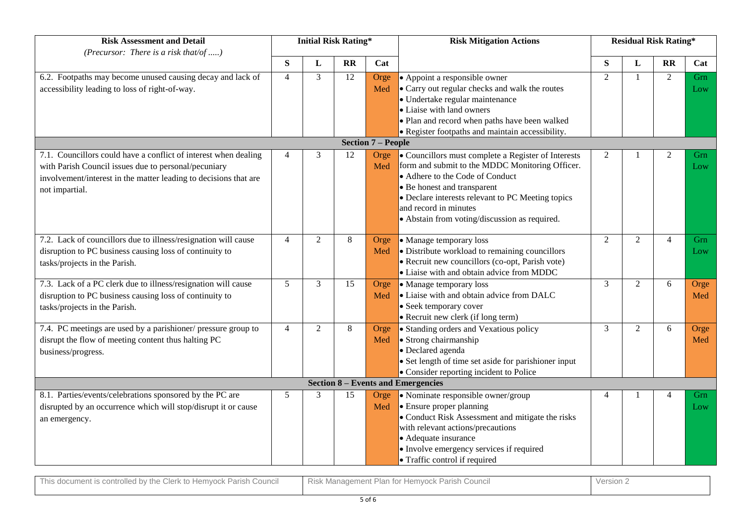| <b>Risk Assessment and Detail</b><br>(Precursor: There is a risk that/of )                                                                                                                                    |                 |   | <b>Initial Risk Rating*</b> |                           | <b>Risk Mitigation Actions</b>                                                                                                                                                                                                                                                                          |                | <b>Residual Risk Rating*</b> |                |             |  |
|---------------------------------------------------------------------------------------------------------------------------------------------------------------------------------------------------------------|-----------------|---|-----------------------------|---------------------------|---------------------------------------------------------------------------------------------------------------------------------------------------------------------------------------------------------------------------------------------------------------------------------------------------------|----------------|------------------------------|----------------|-------------|--|
|                                                                                                                                                                                                               | S               | L | <b>RR</b>                   | Cat                       |                                                                                                                                                                                                                                                                                                         | S              | L                            | $\mathbf{R}$   | Cat         |  |
| 6.2. Footpaths may become unused causing decay and lack of<br>accessibility leading to loss of right-of-way.                                                                                                  | $\overline{4}$  | 3 | 12                          | Orge<br>Med               | • Appoint a responsible owner<br>• Carry out regular checks and walk the routes<br>• Undertake regular maintenance<br>• Liaise with land owners<br>• Plan and record when paths have been walked<br>• Register footpaths and maintain accessibility.                                                    | $\overline{2}$ | $\mathbf{1}$                 | 2              | Grn<br>Low  |  |
|                                                                                                                                                                                                               |                 |   |                             | <b>Section 7 – People</b> |                                                                                                                                                                                                                                                                                                         |                |                              |                |             |  |
| 7.1. Councillors could have a conflict of interest when dealing<br>with Parish Council issues due to personal/pecuniary<br>involvement/interest in the matter leading to decisions that are<br>not impartial. | Δ               | 3 | 12                          | Orge<br>Med               | • Councillors must complete a Register of Interests<br>form and submit to the MDDC Monitoring Officer.<br>• Adhere to the Code of Conduct<br>• Be honest and transparent<br>• Declare interests relevant to PC Meeting topics<br>and record in minutes<br>• Abstain from voting/discussion as required. | 2              |                              | 2              | Grn<br>Low  |  |
| 7.2. Lack of councillors due to illness/resignation will cause<br>disruption to PC business causing loss of continuity to<br>tasks/projects in the Parish.                                                    | 4               | 2 | 8                           | Orge<br>Med               | • Manage temporary loss<br>• Distribute workload to remaining councillors<br>• Recruit new councillors (co-opt, Parish vote)<br>• Liaise with and obtain advice from MDDC                                                                                                                               | $\overline{2}$ | $\overline{2}$               | $\overline{4}$ | Grn<br>Low  |  |
| 7.3. Lack of a PC clerk due to illness/resignation will cause<br>disruption to PC business causing loss of continuity to<br>tasks/projects in the Parish.                                                     | $5\overline{)}$ | 3 | 15                          | Orge<br>Med               | • Manage temporary loss<br>• Liaise with and obtain advice from DALC<br>• Seek temporary cover<br>• Recruit new clerk (if long term)                                                                                                                                                                    | 3              | $\overline{2}$               | 6              | Orge<br>Med |  |
| 7.4. PC meetings are used by a parishioner/ pressure group to<br>disrupt the flow of meeting content thus halting PC<br>business/progress.                                                                    | $\overline{4}$  | 2 | 8                           | Orge<br>Med               | • Standing orders and Vexatious policy<br>· Strong chairmanship<br>• Declared agenda<br>• Set length of time set aside for parishioner input<br>• Consider reporting incident to Police<br><b>Section 8 – Events and Emergencies</b>                                                                    | 3              | $\overline{2}$               | 6              | Orge<br>Med |  |
| 8.1. Parties/events/celebrations sponsored by the PC are                                                                                                                                                      | 5               | 3 | 15                          | Orge                      | • Nominate responsible owner/group                                                                                                                                                                                                                                                                      | 4              |                              | $\overline{4}$ | Grn         |  |
| disrupted by an occurrence which will stop/disrupt it or cause<br>an emergency.                                                                                                                               |                 |   |                             | Med                       | $\bullet$ Ensure proper planning<br>• Conduct Risk Assessment and mitigate the risks<br>with relevant actions/precautions<br>• Adequate insurance<br>• Involve emergency services if required<br>• Traffic control if required                                                                          |                |                              |                | Low         |  |

| $-1$<br>Parish<br>This document is controlled by the Clerk to r.<br>⊢Council<br>Hemyock | <sup>-</sup> Parish<br>* Hemyock <sub>L</sub><br>Council<br>Management H<br><b>KISK</b><br>- Plan<br>$\sim$ | Version 2 |
|-----------------------------------------------------------------------------------------|-------------------------------------------------------------------------------------------------------------|-----------|
|                                                                                         |                                                                                                             |           |